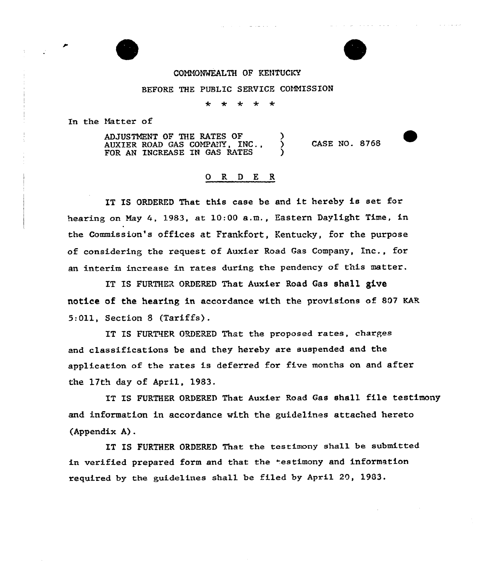### COMMONWEALTH OF KENTUCKY

#### BEFORE THE PUBLIC SERVICE COMMISSION

 $\star$ \* \* ∗  $\star$ 

In the Natter of

ADJUSTMENT OF THE RATES OF  $\qquad$  )<br>AUXTER ROAD GAS COMPANY, INC... AUXEER ROAD GAS COMPAtTY, INC., ) FOR AN INCREASE IN GAS RATES CASE NO. 8768

## 0 R <sup>D</sup> E R

IT IS ORDERED That this case be and it hereby is set for hearing on May 4, 1983, at 10:00 a.m., Eastern Daylight Time, in the Commission's offices at Frankfort, Kentucky, for the purpose of considering the request of Auxier Road Gas Company, Inc., for an interim increase in rates during the pendency of this matter.

IT IS FURTHER ORDERED That Auxier Road Gas shall give notice of the hearing in accordance with the provisions of 807 KAR 5:Oll, Section 8 (Tariffs).

IT IS FURTHER ORDERED That the proposed rates, charges and classifications be and they hereby are suspended and the application of the rates is deferred for five months on and after the 17th day of April, 1983.

IT IS FURTHER ORDERED That Auxier Road Gas shall file testimony and information in accordance with the guidelines attached hereto (Appendix A).

IT IS FURTHER ORDERED That the testimony shall be submitted in verified prepared form and that the testimony and information required by the guidelines shall be filed by April 20, 1903.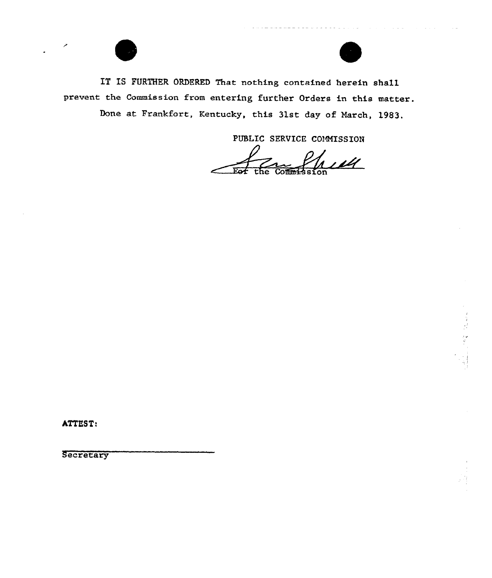

Done at Frankfort, Kentucky, this 31st day of March, 1983.

PUBLIC SERVICE COMMISSION

hell  $Comm<sub>1</sub>$   $\overline{\phantom{a}}$   $\overline{\phantom{a}}$ the.

ATTEST:

Secretary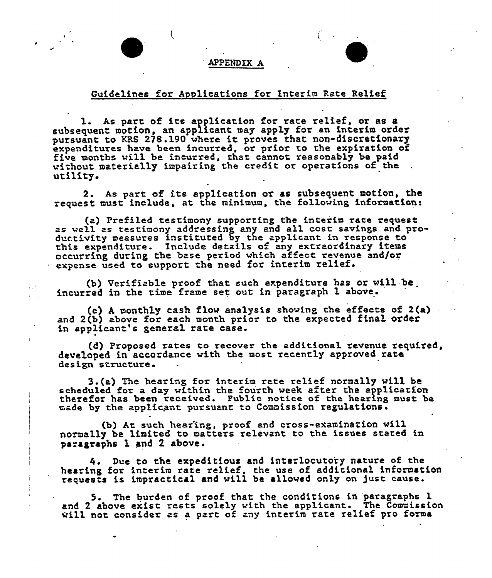#### **APPENDIX A**

# Guidelines for Applications for Interim Rate Relief

1. As part of its application for rate relief, or as a subsequent motion, an applicant may apply for an interim order pursuant to KRS 278.190 where it proves that non-discretionary expenditures have been incurred, or prior to the expiration of expenditutes have been incurred, or prior to the expression. without materially impairing the cxedit or operations of the utility.

2. As part of its application or as subsequent motion, the request must include, at the minimum, the following information:

(a) Prefiled testimony supporting the interim rate request as well as testimony addressing any and all cost savings and productivity measures instituted by the applicant in response to this expenditure. Include details of any extraordinary items occurring during the base period which affect. revenue and/or  $\cdot$  expense used to support the need for interim relief.

(b) Verifiable proof that such expenditure has or wi11 be incurred in the time frame set out in paragraph 1 above.

(c) A monthly cash flow analysis showing the effects of  $2(a)$ and 2(b) above for each month prior to the expected final order in applicant's genera1 rate case.

(d) Proposed rates to recover the additional revenue required, developed in accordance with the most recently approved rate design structure.

3.(a) The hearing for interim rate relief normally will be scheduled for a day within the fourth week after the application therefor has been received. Public notice of the hearing must be made by the applicant pursuant to Commission regulations.

(b) At such hear'ing, proof and cross-examination w111 normally be limited to matters relevant to the issues stated in paragraphs 1 and 2 above.

4. Due to the expeditious and interlocutory nature of the hearing for interim rate relief, the use of additional information requests is impractical and will be allowed only on just cause.

5. The burden of proof that the conditions in paragraphs 1 and 2 above exist rests solely with the applicant. The Commission  $\ddot{x}$  above exist rests solely with the applicant. The Commission  $\ddot{x}$